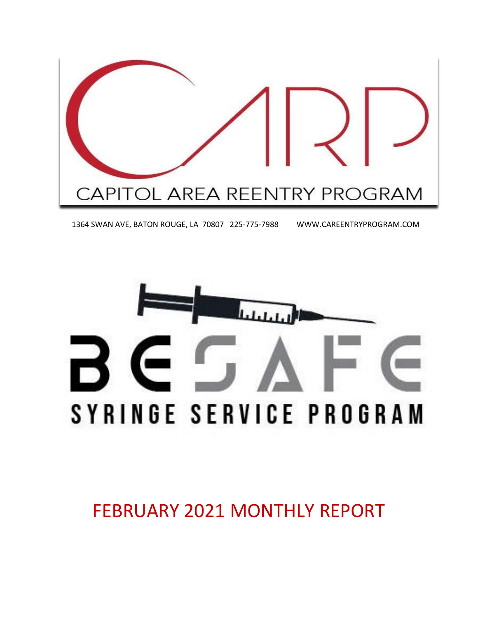

1364 SWAN AVE, BATON ROUGE, LA 70807 225-775-7988 WWW.CAREENTRYPROGRAM.COM



FEBRUARY 2021 MONTHLY REPORT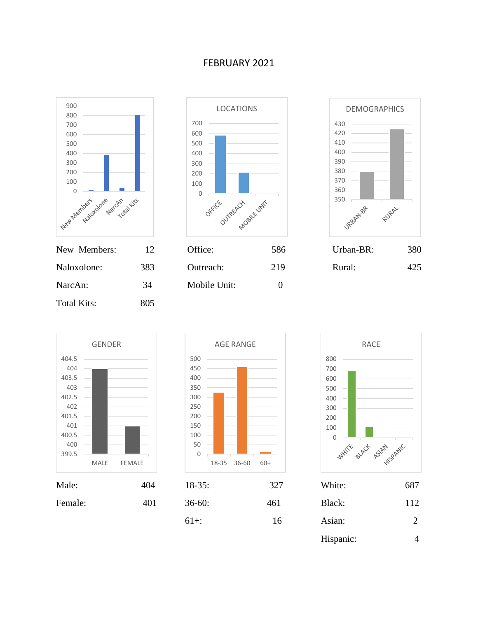#### FEBRUARY 2021



| Naloxolone: | 383 |
|-------------|-----|
| NarcAn:     | 34  |
| Total Kits: | 805 |



| INGW INICHIDUIS. |     | UIILC.       | JOU. | UIUAII-DIX. | υoν |
|------------------|-----|--------------|------|-------------|-----|
| Naloxolone:      | 383 | Outreach:    | 219  | Rural:      | 425 |
| NarcAn:          | 34  | Mobile Unit: |      |             |     |









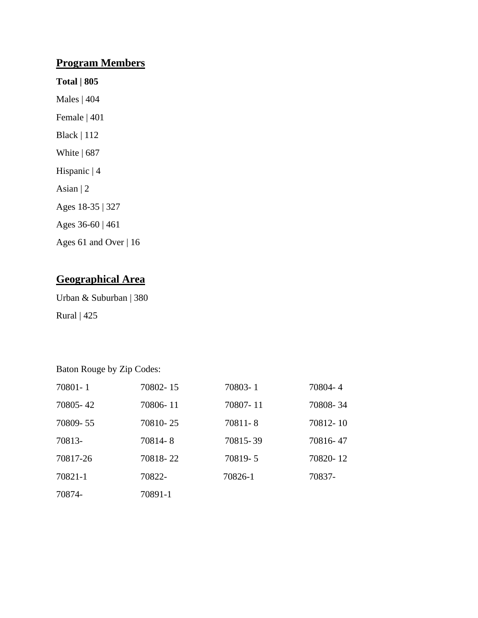# **Program Members**

- **Total | 805**
- Males | 404 Female | 401
- Black | 112
- White | 687
- Hispanic | 4
- Asian | 2
- Ages 18-35 | 327
- Ages 36-60 | 461
- Ages 61 and Over | 16

# **Geographical Area**

Urban & Suburban | 380 Rural | 425

Baton Rouge by Zip Codes:

| 70801-1  | 70802-15 | 70803-1  | 70804-4  |
|----------|----------|----------|----------|
| 70805-42 | 70806-11 | 70807-11 | 70808-34 |
| 70809-55 | 70810-25 | 70811-8  | 70812-10 |
| 70813-   | 70814-8  | 70815-39 | 70816-47 |
| 70817-26 | 70818-22 | 70819-5  | 70820-12 |
| 70821-1  | 70822-   | 70826-1  | 70837-   |
| 70874-   | 70891-1  |          |          |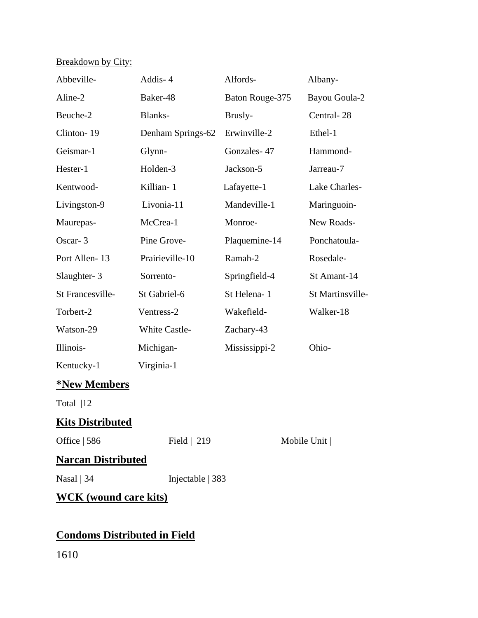# Breakdown by City:

| Abbeville-                   | Addis-4              | Alfords-        | Albany-              |
|------------------------------|----------------------|-----------------|----------------------|
| Aline-2                      | Baker-48             | Baton Rouge-375 | <b>Bayou Goula-2</b> |
| Beuche-2                     | Blanks-              | Brusly-         | Central-28           |
| Clinton-19                   | Denham Springs-62    | Erwinville-2    | Ethel-1              |
| Geismar-1                    | Glynn-               | Gonzales-47     | Hammond-             |
| Hester-1                     | Holden-3             | Jackson-5       | Jarreau-7            |
| Kentwood-                    | Killian-1            | Lafayette-1     | Lake Charles-        |
| Livingston-9                 | Livonia-11           | Mandeville-1    | Maringuoin-          |
| Maurepas-                    | McCrea-1             | Monroe-         | New Roads-           |
| Oscar-3                      | Pine Grove-          | Plaquemine-14   | Ponchatoula-         |
| Port Allen-13                | Prairieville-10      | Ramah-2         | Rosedale-            |
| Slaughter-3                  | Sorrento-            | Springfield-4   | St Amant-14          |
| St Francesville-             | St Gabriel-6         | St Helena-1     | St Martinsville-     |
| Torbert-2                    | Ventress-2           | Wakefield-      | Walker-18            |
| Watson-29                    | <b>White Castle-</b> | Zachary-43      |                      |
| Illinois-                    | Michigan-            | Mississippi-2   | Ohio-                |
| Kentucky-1                   | Virginia-1           |                 |                      |
| <b>*New Members</b>          |                      |                 |                      |
| Total $ 12$                  |                      |                 |                      |
| <b>Kits Distributed</b>      |                      |                 |                      |
| Office $ 586$                | Field $\vert$ 219    |                 | Mobile Unit          |
| <b>Narcan Distributed</b>    |                      |                 |                      |
| Nasal $ 34$                  | Injectable   383     |                 |                      |
| <b>WCK</b> (wound care kits) |                      |                 |                      |

# **Condoms Distributed in Field**

1610